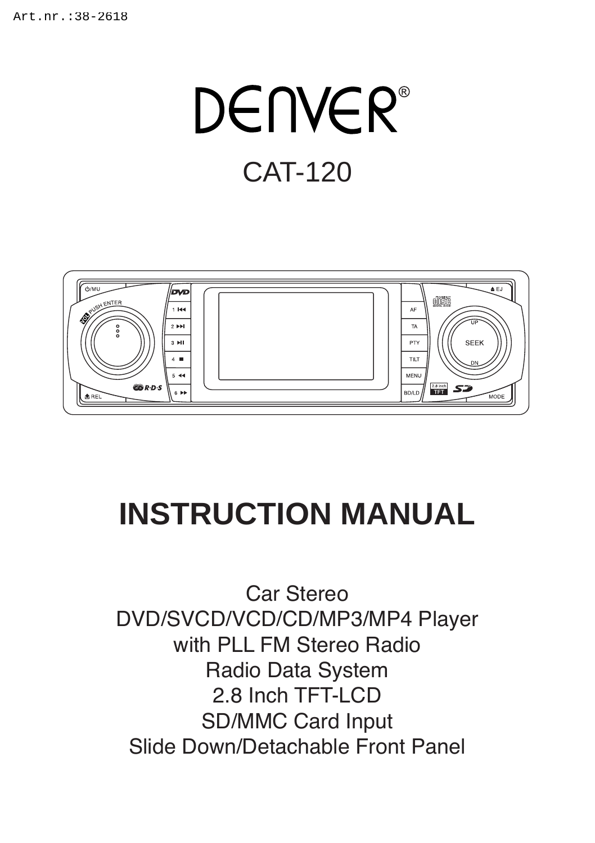# **DENVER**<sup>®</sup> CAT-120



## **INSTRUCTION MANUAL**

 $\frac{1}{2}$ 2.8 Inch TFT-LCD Car Stereo DVD/SVCD/VCD/CD/MP3/MP4 Player with PLL FM Stereo Radio Radio Data System SD/MMC Card Input Slide Down/Detachable Front Panel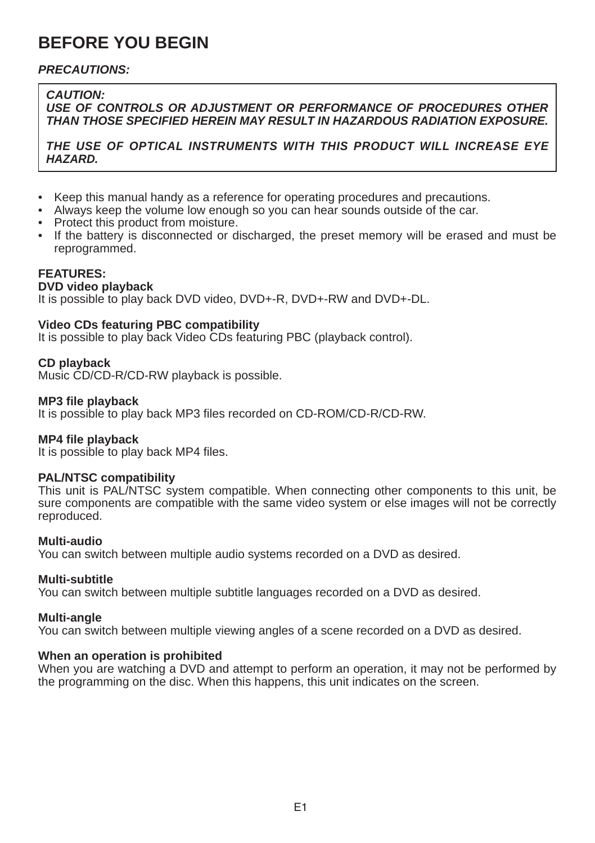## **BEFORE YOU BEGIN**

#### *PRECAUTIONS:*

#### *CAUTION:*

*USE OF CONTROLS OR ADJUSTMENT OR PERFORMANCE OF PROCEDURES OTHER THAN THOSE SPECIFIED HEREIN MAY RESULT IN HAZARDOUS RADIATION EXPOSURE.*

*THE USE OF OPTICAL INSTRUMENTS WITH THIS PRODUCT WILL INCREASE EYE HAZARD.*

- • Keep this manual handy as a reference for operating procedures and precautions.
- Always keep the volume low enough so you can hear sounds outside of the car.
- Protect this product from moisture.
- • If the battery is disconnected or discharged, the preset memory will be erased and must be reprogrammed.

#### **FEATURES:**

#### **DVD video playback**

It is possible to play back DVD video, DVD+-R, DVD+-RW and DVD+-DL.

#### **Video CDs featuring PBC compatibility**

It is possible to play back Video CDs featuring PBC (playback control).

#### **CD playback**

Music CD/CD-R/CD-RW playback is possible.

#### **MP3 file playback**

It is possible to play back MP3 files recorded on CD-ROM/CD-R/CD-RW.

#### **MP4 file playback**

It is possible to play back MP4 files.

#### **PAL/NTSC compatibility**

This unit is PAL/NTSC system compatible. When connecting other components to this unit, be sure components are compatible with the same video system or else images will not be correctly reproduced.

#### **Multi-audio**

You can switch between multiple audio systems recorded on a DVD as desired.

#### **Multi-subtitle**

You can switch between multiple subtitle languages recorded on a DVD as desired.

#### **Multi-angle**

You can switch between multiple viewing angles of a scene recorded on a DVD as desired.

#### **When an operation is prohibited**

When you are watching a DVD and attempt to perform an operation, it may not be performed by the programming on the disc. When this happens, this unit indicates on the screen.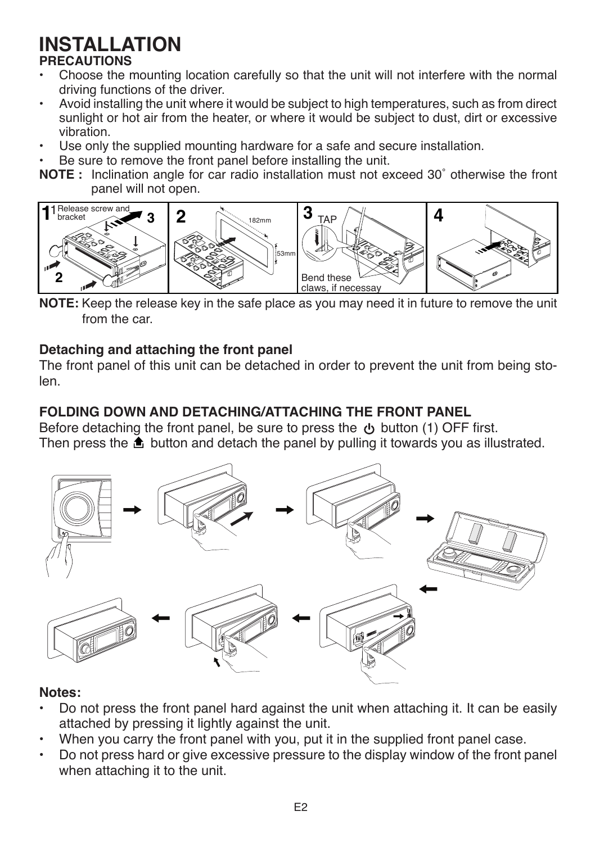## **INSTALLATION**

### **PRECAUTIONS**

- Choose the mounting location carefully so that the unit will not interfere with the normal driving functions of the driver.
- Avoid installing the unit where it would be subject to high temperatures, such as from direct sunlight or hot air from the heater, or where it would be subject to dust, dirt or excessive vibration.
- Use only the supplied mounting hardware for a safe and secure installation.
- Be sure to remove the front panel before installing the unit.
- **NOTE**: Inclination angle for car radio installation must not exceed 30° otherwise the front panel will not open.



**NOTE:** Keep the release key in the safe place as you may need it in future to remove the unit from the car.

### **Detaching and attaching the front panel**

The front panel of this unit can be detached in order to prevent the unit from being stolen.

### **FOLDING DOWN AND DETACHING/ATTACHING THE FRONT PANEL**

Before detaching the front panel, be sure to press the button (1) OFF first. Then press the  $\triangle$  button and detach the panel by pulling it towards you as illustrated.



#### **Notes:**

- Do not press the front panel hard against the unit when attaching it. It can be easily attached by pressing it lightly against the unit.
- When you carry the front panel with you, put it in the supplied front panel case.
- Do not press hard or give excessive pressure to the display window of the front panel when attaching it to the unit.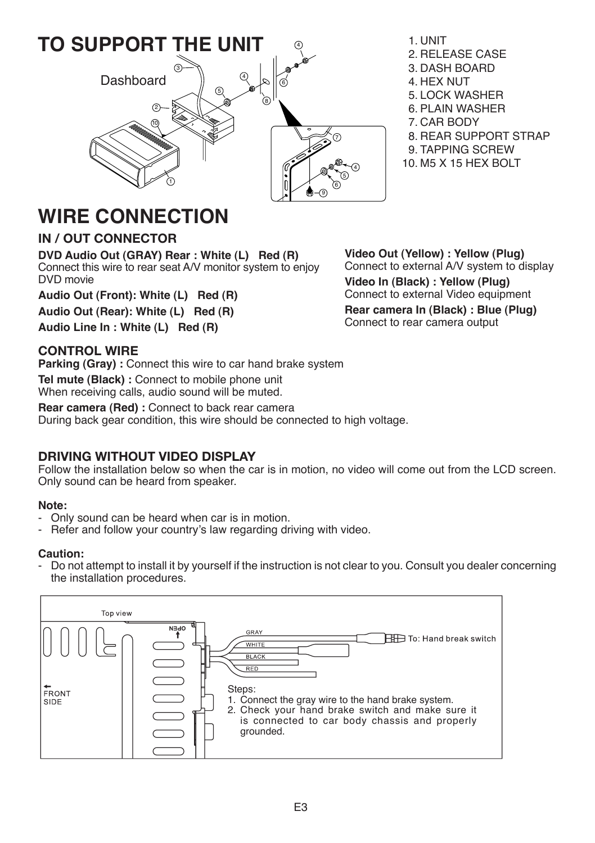

- 1. UNIT
- 2. RELEASE CASE
- 3. DASH BOARD
- 4. HEX NUT
- 5. LOCK WASHER
- 6. PLAIN WASHER
- 7. CAR BODY
- 8. REAR SUPPORT STRAP
- 9. TAPPING SCREW
- 10. M5 X 15 HEX BOLT

## **WIRE CONNECTION**

#### **IN / OUT CONNECTOR**

**DVD Audio Out (GRAY) Rear : White (L) Red (R)** Connect this wire to rear seat A/V monitor system to enjoy DVD movie

**Audio Out (Front): White (L) Red (R)** 

**Audio Out (Rear): White (L) Red (R)** 

**Audio Line In : White (L) Red (R)**

#### **CONTROL WIRE**

**Parking (Gray) :** Connect this wire to car hand brake system **Tel mute (Black) :** Connect to mobile phone unit When receiving calls, audio sound will be muted.

**Rear camera (Red) :** Connect to back rear camera During back gear condition, this wire should be connected to high voltage.

#### **DRIVING WITHOUT VIDEO DISPLAY**

Follow the installation below so when the car is in motion, no video will come out from the LCD screen. Only sound can be heard from speaker.

#### **Note:**

- Only sound can be heard when car is in motion.
- Refer and follow your country's law regarding driving with video.

#### **Caution:**

- Do not attempt to install it by yourself if the instruction is not clear to you. Consult you dealer concerning the installation procedures.



**Video Out (Yellow) : Yellow (Plug)** Connect to external A/V system to display **Video In (Black) : Yellow (Plug)** Connect to external Video equipment **Rear camera In (Black) : Blue (Plug)** Connect to rear camera output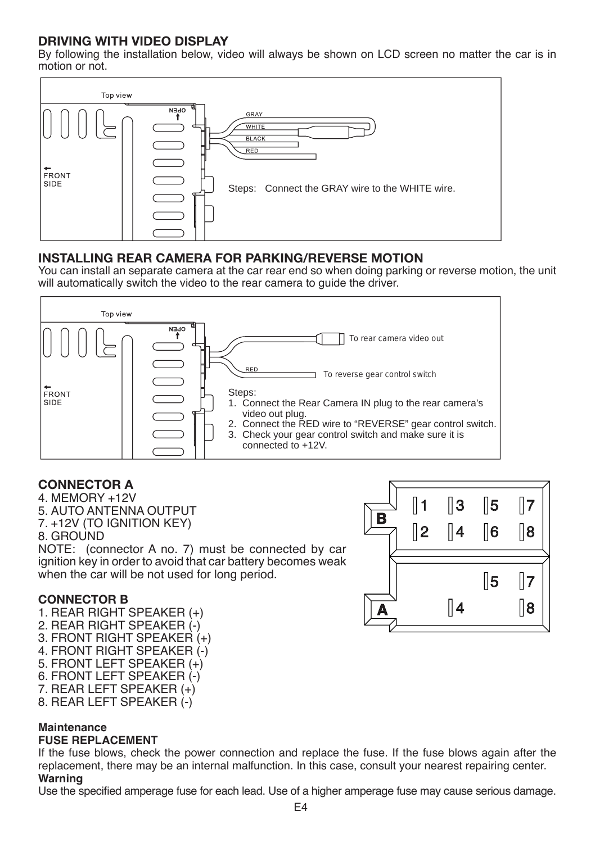#### **DRIVING WITH VIDEO DISPLAY**

By following the installation below, video will always be shown on LCD screen no matter the car is in motion or not.



#### **INSTALLING REAR CAMERA FOR PARKING/REVERSE MOTION**

You can install an separate camera at the car rear end so when doing parking or reverse motion, the unit will automatically switch the video to the rear camera to guide the driver.



#### **CONNECTOR A**

4. MEMORY +12V 5. AUTO ANTENNA OUTPUT 7. +12V (TO IGNITION KEY) 8. GROUND NOTE: (connector A no. 7) must be connected by car ignition key in order to avoid that car battery becomes weak when the car will be not used for long period.

#### **CONNECTOR B**

1. REAR RIGHT SPEAKER (+) 2. REAR RIGHT SPEAKER (-) 3. FRONT RIGHT SPEAKER (+) 4. FRONT RIGHT SPEAKER (-) 5. FRONT LEFT SPEAKER (+) 6. FRONT LEFT SPEAKER (-) 7. REAR LEFT SPEAKER (+) 8. REAR LEFT SPEAKER (-)

#### **Maintenance**

#### **FUSE REPLACEMENT**

If the fuse blows, check the power connection and replace the fuse. If the fuse blows again after the replacement, there may be an internal malfunction. In this case, consult your nearest repairing center. **Warning**

Use the specified amperage fuse for each lead. Use of a higher amperage fuse may cause serious damage.

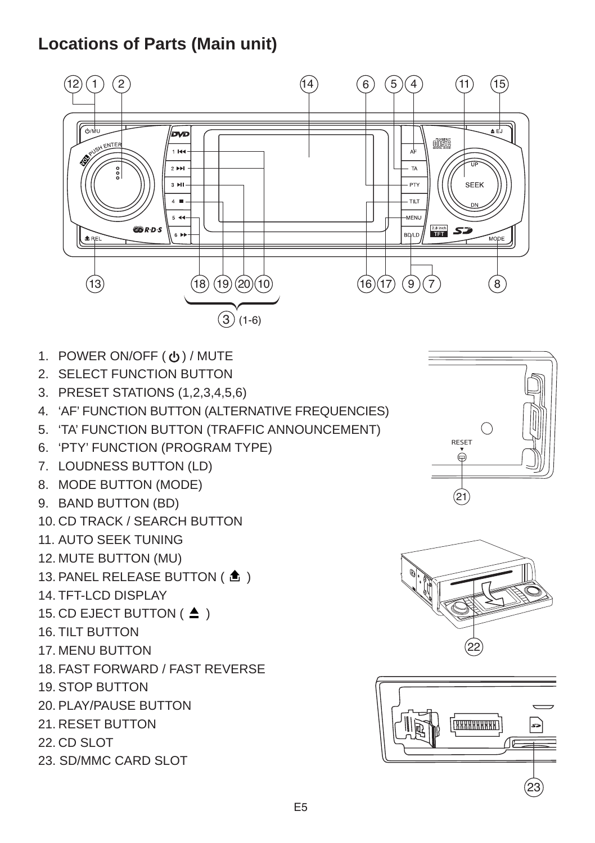## **Locations of Parts (Main unit)**



- 1. POWER ON/OFF ( ψ) / MUTE
- 2. SELECT FUNCTION BUTTON
- 3. PRESET STATIONS (1,2,3,4,5,6)
- 4. 'AF' FUNCTION BUTTON (ALTERNATIVE FREQUENCIES)
- 5.  $\cdot$  TA' function button (traffic announcement)  $\hskip10mm \circ \hskip10mm \qquad \qquad \circ \hskip 10mm \vert \hskip10mm \vert \hskip10mm \vert \hskip10mm \vert \hskip10mm \vert \hskip10mm \vert \hskip10mm \vert \hskip10mm \vert \hskip10mm \vert \hskip10mm \vert \hskip10mm \vert \hskip10mm \vert \hskip10mm \vert \hskip10mm \vert \hskip10mm \vert \hskip10mm \vert \hskip10mm \vert \hskip10mm \vert \h$
- 6. 'PTY' function (PROGRAM TYPE)
- 7. LOUDNESS BUTTON (LD)
- 8. MODE BUTTON (MODE)
- 9. BAND BUTTON (BD)
- 10. CD TRACK / SEARCH BUTTON
- 11. AUTO SEEK TUNING
- 12. MUTE BUTTON (MU)
- 13. PANEL RELEASE BUTTON ( $\triangle$ )
- 14. TFT-LCD DISPLAY
- 15. CD EJECT BUTTON ( $\triangle$ )
- 16. TILT BUTTON
- 17. MENU BUTTON
- 18. FAST FORWARD / FAST REVERSE
- 19. STOP BUTTON
- 20. PLAY/PAUSE BUTTON
- 21. RESET BUTTON
- 22. CD SLOT
- 23. SD/MMC CARD SLOT





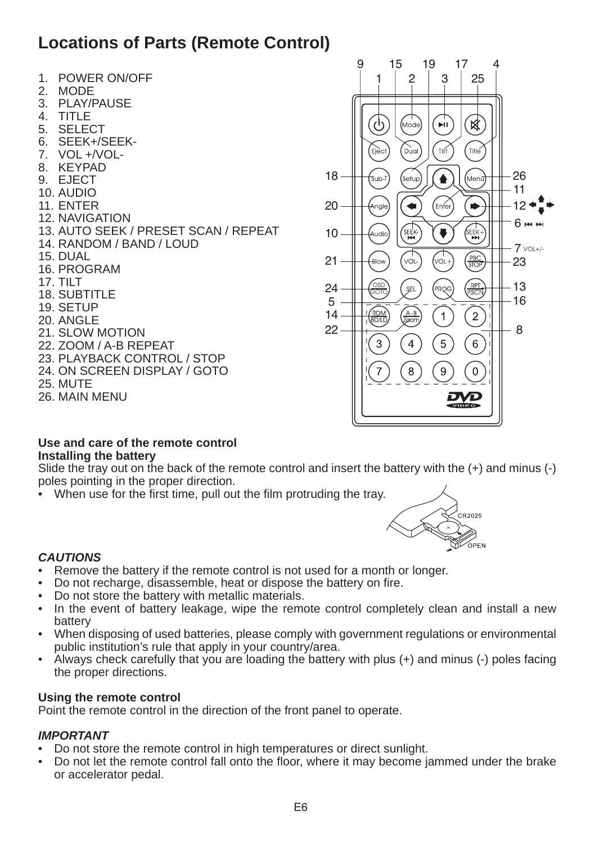## **Locations of Parts (Remote Control)**

- 1. POWER ON/OFF
- 2. MODE
- 3. PLAY/PAUSE
- 4. TITLE
- 5. SELECT
- 6. SEEK+/SEEK-
- 7. VOL +/VOL-
- 8. KEYPAD
- 9. EJECT
- 10. AUDIO
- 11. ENTER
- 12. NAVIGATION
- 13. AUTO SEEK / PRESET SCAN / REPEAT
- 14. RANDOM / BAND / LOUD
- 15. DUAL
- 16. PROGRAM
- 17. TILT
- 18. SUBTITLE
- 19. SETUP
- 20. ANGLE
- 21. SLOW MOTION
- 22. ZOOM / A-B REPEAT
- 23. PLAYBACK CONTROL / STOP
- 24. ON SCREEN DISPLAY / GOTO
- 25. MUTE
- 26. MAIN MENU



#### **Use and care of the remote control Installing the battery**

Slide the tray out on the back of the remote control and insert the battery with the (+) and minus (-) poles pointing in the proper direction.

• When use for the first time, pull out the film protruding the trav.



#### *CAUTIONS*

- Remove the battery if the remote control is not used for a month or longer.
- Do not recharge, disassemble, heat or dispose the battery on fire.
- Do not store the battery with metallic materials.
- In the event of battery leakage, wipe the remote control completely clean and install a new battery
- • When disposing of used batteries, please comply with government regulations or environmental public institution's rule that apply in your country/area.
- • Always check carefully that you are loading the battery with plus (+) and minus (-) poles facing the proper directions.

#### **Using the remote control**

Point the remote control in the direction of the front panel to operate.

#### *IMPORTANT*

- Do not store the remote control in high temperatures or direct sunlight.
- Do not let the remote control fall onto the floor, where it may become jammed under the brake or accelerator pedal.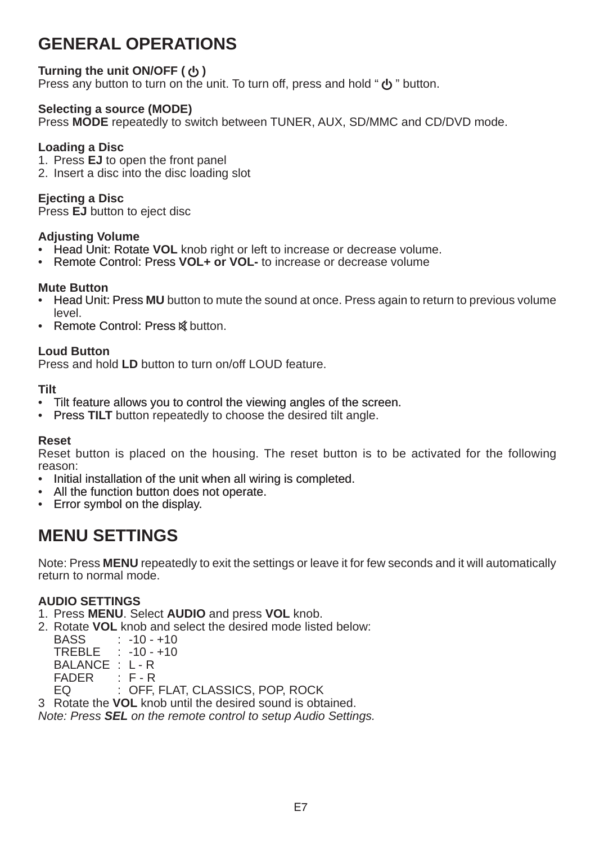## **GENERAL OPERATIONS**

#### **Turning the unit ON/OFF ( <b>b**)

Press any button to turn on the unit. To turn off, press and hold "  $\Phi$ " button.

#### **Selecting a source (MODE)**

Press **MODE** repeatedly to switch between TUNER, AUX, SD/MMC and CD/DVD mode.

#### **Loading a Disc**

1. Press **EJ** to open the front panel

2. Insert a disc into the disc loading slot

#### **Ejecting a Disc**

Press **EJ** button to eject disc

#### **Adjusting Volume**

- Head Unit: Rotate VOL knob right or left to increase or decrease volume.
- **Remote Control: Press VOL+ or VOL-** to increase or decrease volume

#### **Mute Button**

- Head Unit: Press MU button to mute the sound at once. Press again to return to previous volume level.
- **Remote Control: Press & button.**

#### **Loud Button**

Press and hold **LD** button to turn on/off LOUD feature.

#### **Tilt**

- Tilt feature allows you to control the viewing angles of the screen.
- Press **TILT** button repeatedly to choose the desired tilt angle.

#### **Reset**

Reset button is placed on the housing. The reset button is to be activated for the following reason:

- Initial installation of the unit when all wiring is completed.
- All the function button does not operate.
- Error symbol on the display.

### **MENU SETTINGS**

Note: Press **MENU** repeatedly to exit the settings or leave it for few seconds and it will automatically return to normal mode.

#### **AUDIO SETTINGS**

- 1. Press **MENU**. Select **AUDIO** and press **VOL** knob.
- 2. Rotate **VOL** knob and select the desired mode listed below:
- BASS : -10 +10 TREBLE : -10 - +10 BALANCE : L - R<br>FADER : F - R FADER<br>FQ

: OFF, FLAT, CLASSICS, POP, ROCK

3 Rotate the **VOL** knob until the desired sound is obtained.

*Note: Press SEL on the remote control to setup Audio Settings.*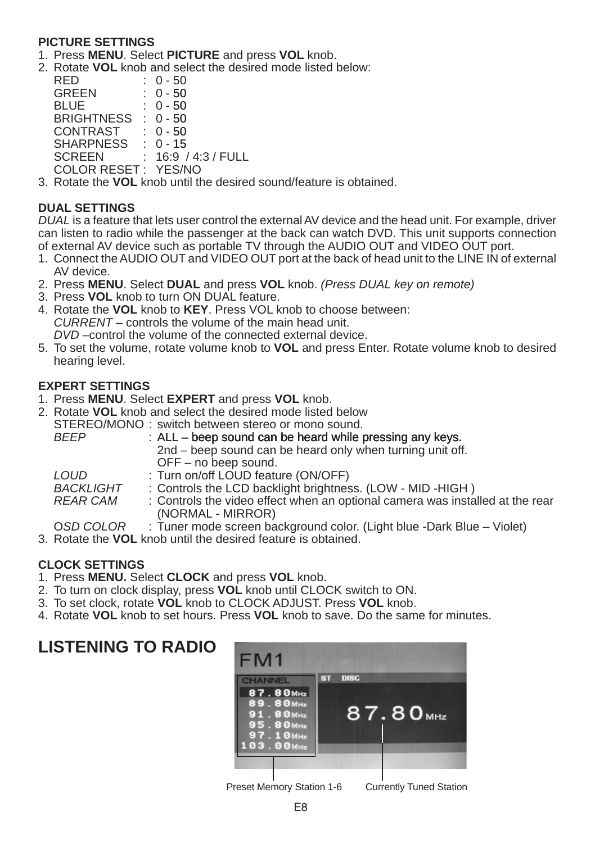#### **PICTURE SETTINGS**

- 1. Press **MENU**. Select **PICTURE** and press **VOL** knob.
- 2. Rotate **VOL** knob and select the desired mode listed below:

| RED                 | $: 0 - 50$        |
|---------------------|-------------------|
| <b>GREEN</b>        | $: 0 - 50$        |
| <b>BLUE</b>         | $: 0 - 50$        |
| <b>BRIGHTNESS</b>   | $: 0 - 50$        |
| CONTRAST            | $: 0 - 50$        |
| SHARPNESS           | $: 0 - 15$        |
| <b>SCREEN</b>       | 16:9 / 4:3 / FULL |
| COLOR RESET: YES/NO |                   |
|                     |                   |

3. Rotate the **VOL** knob until the desired sound/feature is obtained.

#### **DUAL SETTINGS**

*DUAL* is a feature that lets user control the externalAV device and the head unit. For example, driver can listen to radio while the passenger at the back can watch DVD. This unit supports connection of external AV device such as portable TV through the AUDIO OUT and VIDEO OUT port.

- 1. Connect the AUDIO OUT and VIDEO OUT port at the back of head unit to the LINE IN of external AV device.
- 2. Press **MENU**. Select **DUAL** and press **VOL** knob. *(Press DUAL key on remote)*
- 3. Press **VOL** knob to turn ON DUAL feature.
- 4. Rotate the **VOL** knob to **KEY**. Press VOL knob to choose between: *CURRENT* – controls the volume of the main head unit. *DVD* –control the volume of the connected external device.
- 5. To set the volume, rotate volume knob to **VOL** and press Enter. Rotate volume knob to desired hearing level.

#### **EXPERT SETTINGS**

- 1. Press **MENU**. Select **EXPERT** and press **VOL** knob.
- 2. Rotate VOL knob and select the desired mode listed below
	- STEREO/MONO: switch between stereo or mono sound.

| <b>RFFP</b> | : ALL – beep sound can be heard while pressing any keys.                          |
|-------------|-----------------------------------------------------------------------------------|
|             | 2nd – beep sound can be heard only when turning unit off.                         |
|             | OFF – no beep sound.                                                              |
| I OUD.      | : Turn on/off LOUD feature (ON/OFF)                                               |
| BACKLIGHT   | : Controls the LCD backlight brightness. (LOW - MID -HIGH)                        |
| $\Gamma$    | . Operation to a set the problem of the construction of the component controllers |

- *REAR CAM* : Controls the video effect when an optional camera was installed at the rear (NORMAL - MIRROR)
- O*SD COLOR* : Tuner mode screen background color. (Light blue -Dark Blue Violet)
- 3. Rotate the **VOL** knob until the desired feature is obtained.

#### **CLOCK SETTINGS**

- 1. Press **MENU.** Select **CLOCK** and press **VOL** knob.
- 2. To turn on clock display, press **VOL** knob until CLOCK switch to ON.
- 3. To set clock, rotate **VOL** knob to CLOCK ADJUST. Press **VOL** knob.
- 4. Rotate **VOL** knob to set hours. Press **VOL** knob to save. Do the same for minutes.

## **LISTENING TO RADIO**



Preset Memory Station 1-6 Currently Tuned Station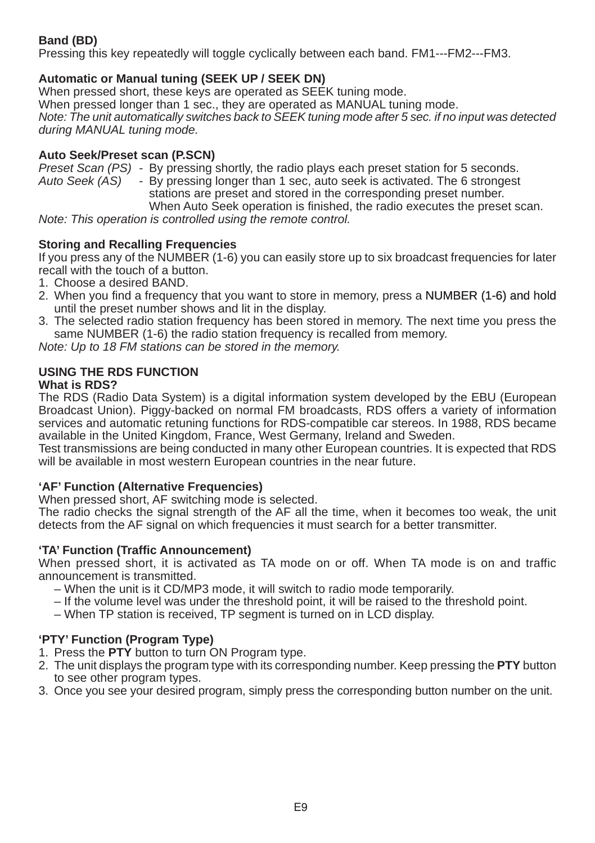#### **Band (BD)**

Pressing this key repeatedly will toggle cyclically between each band. FM1---FM2---FM3.

#### **Automatic or Manual tuning (SEEK UP / SEEK DN)**

When pressed short, these keys are operated as SEEK tuning mode. When pressed longer than 1 sec., they are operated as MANUAL tuning mode. *Note: The unit automatically switches back to SEEK tuning mode after 5 sec. if no input was detected during MANUAL tuning mode.*

#### **Auto Seek/Preset scan (P.SCN)**

*Preset Scan (PS)* - By pressing shortly, the radio plays each preset station for 5 seconds.<br>*Auto Seek (AS)* - By pressing longer than 1 sec. auto seek is activated. The 6 strongest

- By pressing longer than 1 sec, auto seek is activated. The 6 strongest stations are preset and stored in the corresponding preset number. 

 When Auto Seek operation is finished, the radio executes the preset scan. *Note: This operation is controlled using the remote control.*

#### **Storing and Recalling Frequencies**

If you press any of the NUMBER (1-6) you can easily store up to six broadcast frequencies for later recall with the touch of a button.

- 1. Choose a desired BAND.
- 2. When you find a frequency that you want to store in memory, press a NUMBER (1-6) and hold until the preset number shows and lit in the display.
- 3. The selected radio station frequency has been stored in memory. The next time you press the same NUMBER (1-6) the radio station frequency is recalled from memory.

*Note: Up to 18 FM stations can be stored in the memory.*

## **USING THE RDS FUNCTION**

#### **What is RDS?**

The RDS (Radio Data System) is a digital information system developed by the EBU (European Broadcast Union). Piggy-backed on normal FM broadcasts, RDS offers a variety of information services and automatic retuning functions for RDS-compatible car stereos. In 1988, RDS became available in the United Kingdom, France, West Germany, Ireland and Sweden.

Test transmissions are being conducted in many other European countries. It is expected that RDS will be available in most western European countries in the near future.

#### **'AF' Function (Alternative Frequencies)**

When pressed short. AF switching mode is selected.

The radio checks the signal strength of the AF all the time, when it becomes too weak, the unit detects from the AF signal on which frequencies it must search for a better transmitter.

#### **'TA' Function (Traffic Announcement)**

When pressed short, it is activated as TA mode on or off. When TA mode is on and traffic announcement is transmitted.

- When the unit is it CD/MP3 mode, it will switch to radio mode temporarily.
- If the volume level was under the threshold point, it will be raised to the threshold point.
- When TP station is received, TP segment is turned on in LCD display.

#### **'PTY' Function (Program Type)**

- 1. Press the **PTY** button to turn ON Program type.
- 2. The unit displays the program type with its corresponding number. Keep pressing the **PTY** button to see other program types.
- 3. Once you see your desired program, simply press the corresponding button number on the unit.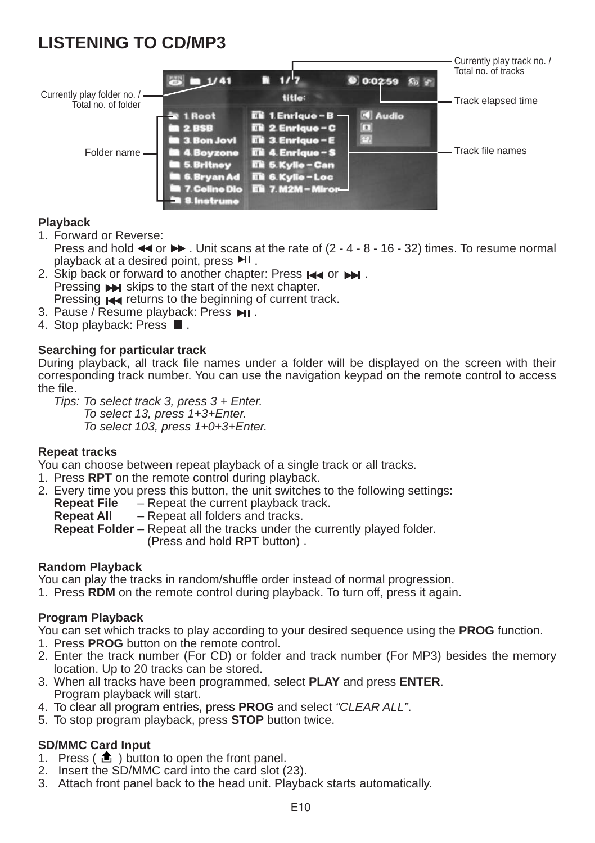## **LISTENING TO CD/MP3**



#### **Playback**

1. Forward or Reverse:

Press and hold  $\blacktriangleleft$  or  $\blacktriangleright$ . Unit scans at the rate of (2 - 4 - 8 - 16 - 32) times. To resume normal playback at a desired point, press  $\blacktriangleright$  I.

- 2. Skip back or forward to another chapter: Press  $\blacktriangleright$  or  $\blacktriangleright$ . Pressing  $\rightarrow$  skips to the start of the next chapter.
- Pressing  $\blacktriangleright$  returns to the beginning of current track.
- 3. Pause / Resume playback: Press  $\overline{\mathsf{H}}$ .
- 4. Stop playback: Press  $\blacksquare$ .

#### **Searching for particular track**

During playback, all track file names under a folder will be displayed on the screen with their corresponding track number. You can use the navigation keypad on the remote control to access the file.

*Tips: To select track 3, press 3 + Enter. To select 13, press 1+3+Enter. To select 103, press 1+0+3+Enter.*

#### **Repeat tracks**

You can choose between repeat playback of a single track or all tracks.

- 1. Press **RPT** on the remote control during playback.
- 2. Every time you press this button, the unit switches to the following settings:<br>Repeat File  $-$  Repeat the current playback track.
	- Repeat the current playback track.

**Repeat All** – Repeat all folders and tracks.

**Repeat Folder** – Repeat all the tracks under the currently played folder. (Press and hold **RPT** button) .

#### **Random Playback**

You can play the tracks in random/shuffle order instead of normal progression.

1. Press **RDM** on the remote control during playback. To turn off, press it again.

#### **Program Playback**

You can set which tracks to play according to your desired sequence using the **PROG** function.

- 1. Press **PROG** button on the remote control.
- 2. Enter the track number (For CD) or folder and track number (For MP3) besides the memory location. Up to 20 tracks can be stored.
- 3. When all tracks have been programmed, select **PLAY** and press **ENTER**. Program playback will start.
- 4. To clear all program entries, press PROG and select "CLEAR ALL".
- 5. To stop program playback, press **STOP** button twice.

#### **SD/MMC Card Input**

- 1. Press ( $\triangle$ ) button to open the front panel.
- 2. Insert the SD/MMC card into the card slot (23).
- 3. Attach front panel back to the head unit. Playback starts automatically.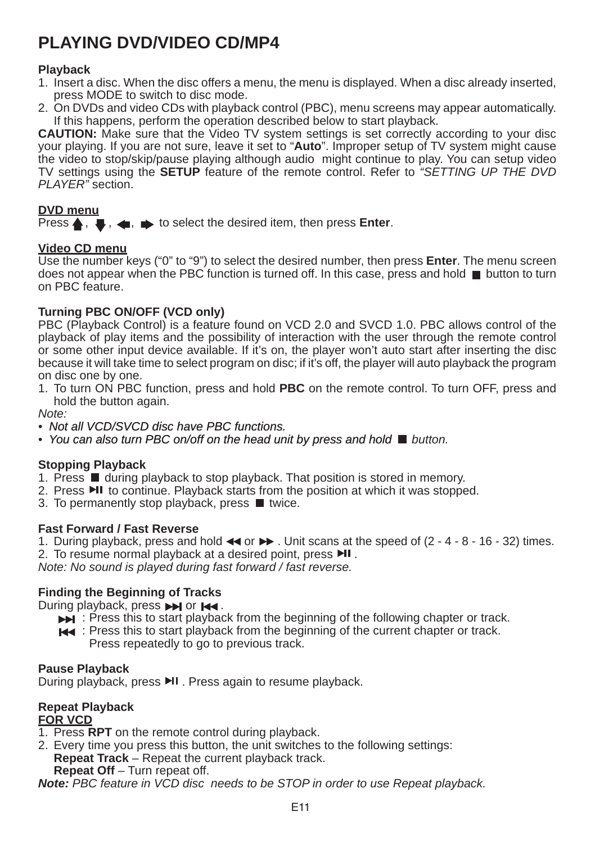## **PLAYING DVD/Video CD/MP4**

#### **Playback**

- 1. Insert a disc. When the disc offers a menu, the menu is displayed. When a disc already inserted, press MODE to switch to disc mode.
- 2. On DVDs and video CDs with playback control (PBC), menu screens may appear automatically. If this happens, perform the operation described below to start playback.

**CAUTION:** Make sure that the Video TV system settings is set correctly according to your disc your playing. If you are not sure, leave it set to "**Auto**". Improper setup of TV system might cause the video to stop/skip/pause playing although audio might continue to play. You can setup video TV settings using the **SETUP** feature of the remote control. Refer to *"SETTING UP THE DVD PLAYER"* section.

#### **DVD menu**

Press  $\blacktriangle$ ,  $\blacktriangleright$ ,  $\blacktriangle$ ,  $\blacktriangleright$  to select the desired item, then press **Enter**.

#### **Video CD menu**

Use the number keys ("0" to "9") to select the desired number, then press **Enter**. The menu screen does not appear when the PBC function is turned off. In this case, press and hold  $\blacksquare$  button to turn on PBC feature.

#### **Turning PBC ON/OFF (VCD only)**

PBC (Playback Control) is a feature found on VCD 2.0 and SVCD 1.0. PBC allows control of the playback of play items and the possibility of interaction with the user through the remote control or some other input device available. If it's on, the player won't auto start after inserting the disc because it will take time to select program on disc; if it's off, the player will auto playback the program on disc one by one.

1. To turn ON PBC function, press and hold **PBC** on the remote control. To turn OFF, press and hold the button again.

*Note:*

- Not all VCD/SVCD disc have PBC functions.
- You can also turn PBC on/off on the head unit by press and hold **b** button.

#### **Stopping Playback**

- 1. Press  $\blacksquare$  during playback to stop playback. That position is stored in memory.
- 2. Press  $\text{HI}$  to continue. Playback starts from the position at which it was stopped.
- 3. To permanently stop playback, press  $\blacksquare$  twice.

#### **Fast Forward / Fast Reverse**

- 1. During playback, press and hold  $\blacktriangleleft$  or  $\blacktriangleright$ . Unit scans at the speed of (2 4 8 16 32) times.
- 2. To resume normal playback at a desired point, press  $\blacktriangleright$ II.

*Note: No sound is played during fast forward / fast reverse.*

#### **Finding the Beginning of Tracks**

During playback, press  $\rightarrow$  or  $\rightarrow$ .

- $\blacktriangleright$   $\blacktriangleright$  : Press this to start playback from the beginning of the following chapter or track.
- **E** Press this to start playback from the beginning of the current chapter or track. Press repeatedly to go to previous track.

#### **Pause Playback**

During playback, press ▶ Press again to resume playback.

#### **Repeat Playback**

#### **FOR VCD**

- 1. Press **RPT** on the remote control during playback.
- 2. Every time you press this button, the unit switches to the following settings: **Repeat Track** – Repeat the current playback track. **Repeat Off** – Turn repeat off.

*Note: PBC feature in VCD disc needs to be STOP in order to use Repeat playback.*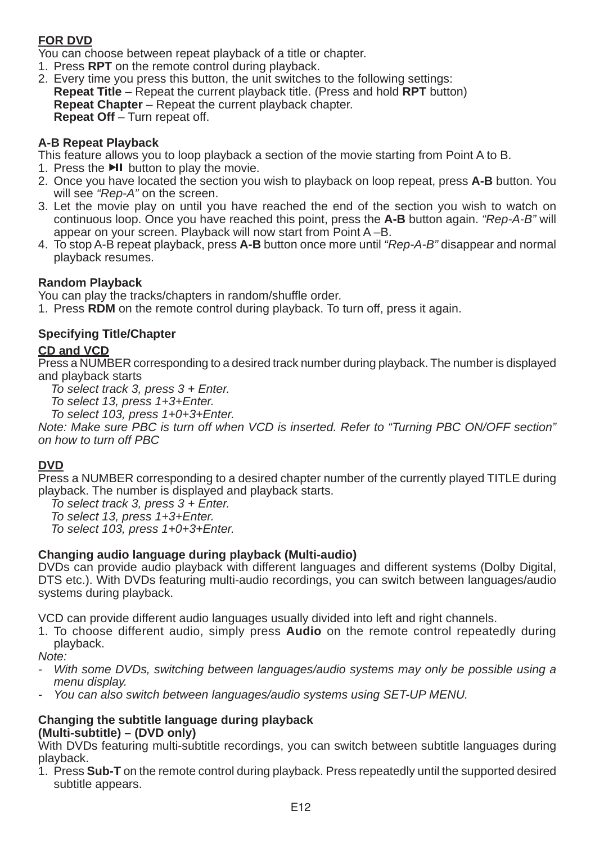#### **FOR DVD**

You can choose between repeat playback of a title or chapter.

- 1. Press **RPT** on the remote control during playback.
- 2. Every time you press this button, the unit switches to the following settings: **Repeat Title** – Repeat the current playback title. (Press and hold **RPT** button) **Repeat Chapter** – Repeat the current playback chapter. **Repeat Off** – Turn repeat off.

#### **A-B Repeat Playback**

This feature allows you to loop playback a section of the movie starting from Point A to B.

- 1. Press the **MI** button to play the movie.
- 2. Once you have located the section you wish to playback on loop repeat, press **A-B** button. You will see *"Rep-A"* on the screen.
- 3. Let the movie play on until you have reached the end of the section you wish to watch on continuous loop. Once you have reached this point, press the **A-B** button again. *"Rep-A-B"* will appear on your screen. Playback will now start from Point A –B.
- 4. To stop A-B repeat playback, press **A-B** button once more until *"Rep-A-B"* disappear and normal playback resumes.

#### **Random Playback**

You can play the tracks/chapters in random/shuffle order.

1. Press **RDM** on the remote control during playback. To turn off, press it again.

#### **Specifying Title/Chapter**

#### **CD and VCD**

Press a NUMBER corresponding to a desired track number during playback. The number is displayed and playback starts

*To select track 3, press 3 + Enter.* 

*To select 13, press 1+3+Enter.* 

*To select 103, press 1+0+3+Enter.*

*Note: Make sure PBC is turn off when VCD is inserted. Refer to "Turning PBC ON/OFF section" on how to turn off PBC*

#### **DVD**

Press a NUMBER corresponding to a desired chapter number of the currently played TITLE during playback. The number is displayed and playback starts.

*To select track 3, press 3 + Enter.* 

*To select 13, press 1+3+Enter.* 

*To select 103, press 1+0+3+Enter.*

#### **Changing audio language during playback (Multi-audio)**

DVDs can provide audio playback with different languages and different systems (Dolby Digital, DTS etc.). With DVDs featuring multi-audio recordings, you can switch between languages/audio systems during playback.

VCD can provide different audio languages usually divided into left and right channels.

1. To choose different audio, simply press **Audio** on the remote control repeatedly during playback.

*Note:*

- *With some DVDs, switching between languages/audio systems may only be possible using a menu display.*
- *You can also switch between languages/audio systems using SET-UP MENU.*

#### **Changing the subtitle language during playback (Multi-subtitle) – (DVD only)**

With DVDs featuring multi-subtitle recordings, you can switch between subtitle languages during playback.

1. Press **Sub-T** on the remote control during playback. Press repeatedly until the supported desired subtitle appears.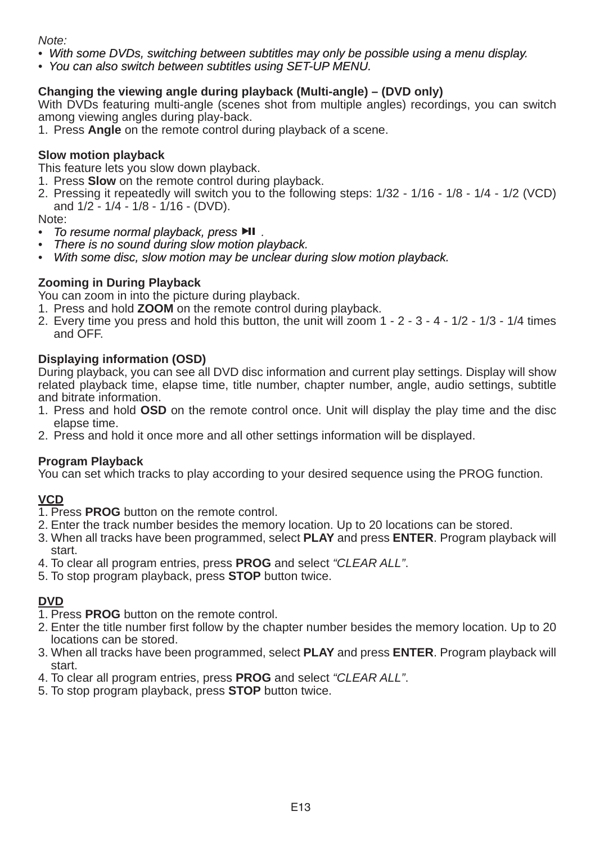*Note:*

*•�� With some DVDs, switching between subtitles may only be possible using a menu display.*

*•�� You can also switch between subtitles using SET-UP MENU.*

#### **Changing the viewing angle during playback (Multi-angle) – (DVD only)**

With DVDs featuring multi-angle (scenes shot from multiple angles) recordings, you can switch among viewing angles during play-back.

1. Press **Angle** on the remote control during playback of a scene.

#### **Slow motion playback**

This feature lets you slow down playback.

- 1. Press **Slow** on the remote control during playback.
- 2. Pressing it repeatedly will switch you to the following steps: 1/32 1/16 1/8 1/4 1/2 (VCD) and 1/2 - 1/4 - 1/8 - 1/16 - (DVD).

Note:

- *To resume normal playback, press .*
- *There is no sound during slow motion playback.*
- *•�� With some disc, slow motion may be unclear during slow motion playback.*

#### **Zooming in During Playback**

You can zoom in into the picture during playback.

- 1. Press and hold **ZOOM** on the remote control during playback.
- 2. Every time you press and hold this button, the unit will zoom  $1 2 3 4 1/2 1/3 1/4$  times and OFF.

#### **Displaying information (OSD)**

During playback, you can see all DVD disc information and current play settings. Display will show related playback time, elapse time, title number, chapter number, angle, audio settings, subtitle and bitrate information.

- 1. Press and hold **OSD** on the remote control once. Unit will display the play time and the disc elapse time.
- 2. Press and hold it once more and all other settings information will be displayed.

#### **Program Playback**

You can set which tracks to play according to your desired sequence using the PROG function.

#### **VCD**

- 1. Press **PROG** button on the remote control.
- 2. Enter the track number besides the memory location. Up to 20 locations can be stored.
- 3. When all tracks have been programmed, select **PLAY** and press **ENTER**. Program playback will start.
- 4. To clear all program entries, press **PROG** and select *"CLEAR ALL"*.
- 5. To stop program playback, press **STOP** button twice.

#### **DVD**

- 1. Press **PROG** button on the remote control.
- 2. Enter the title number first follow by the chapter number besides the memory location. Up to 20 locations can be stored.
- 3. When all tracks have been programmed, select **PLAY** and press **ENTER**. Program playback will start.
- 4. To clear all program entries, press **PROG** and select *"CLEAR ALL"*.
- 5. To stop program playback, press **STOP** button twice.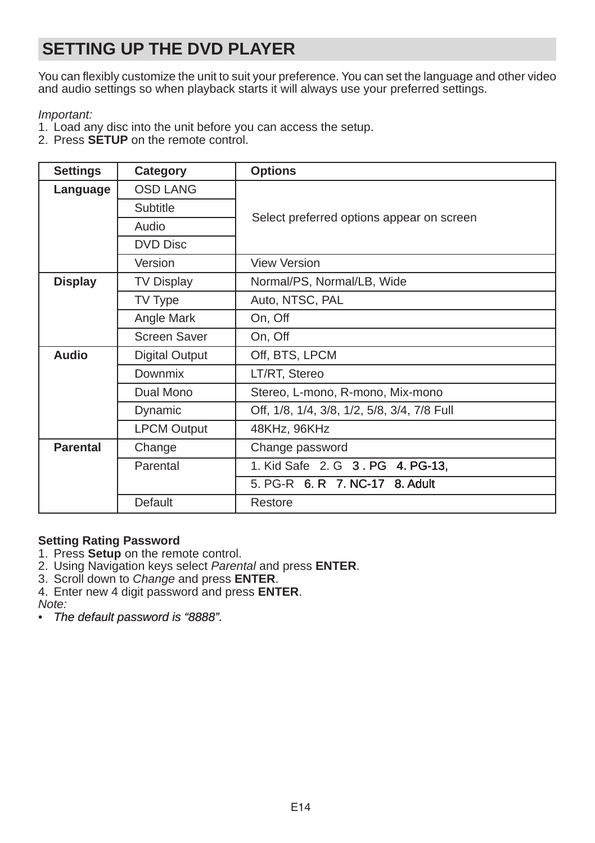## **SETTING UP THE DVD PLAYER**

You can flexibly customize the unit to suit your preference. You can set the language and other video and audio settings so when playback starts it will always use your preferred settings.

#### *Important:*

- 1. Load any disc into the unit before you can access the setup.
- 2. Press **SETUP** on the remote control.

| <b>Settings</b> | Category              | <b>Options</b>                              |  |
|-----------------|-----------------------|---------------------------------------------|--|
| Language        | <b>OSD LANG</b>       |                                             |  |
|                 | Subtitle              |                                             |  |
|                 | Audio                 | Select preferred options appear on screen   |  |
|                 | DVD Disc              |                                             |  |
|                 | Version               | <b>View Version</b>                         |  |
| <b>Display</b>  | <b>TV Display</b>     | Normal/PS, Normal/LB, Wide                  |  |
|                 | TV Type               | Auto, NTSC, PAL                             |  |
|                 | Angle Mark            | On, Off                                     |  |
|                 | Screen Saver          | On, Off                                     |  |
| Audio           | <b>Digital Output</b> | Off, BTS, LPCM                              |  |
|                 | Downmix               | LT/RT, Stereo                               |  |
|                 | Dual Mono             | Stereo, L-mono, R-mono, Mix-mono            |  |
|                 | Dynamic               | Off, 1/8, 1/4, 3/8, 1/2, 5/8, 3/4, 7/8 Full |  |
|                 | <b>LPCM Output</b>    | 48KHz, 96KHz                                |  |
| <b>Parental</b> | Change                | Change password                             |  |
|                 | Parental              | 1. Kid Safe 2. G 3. PG 4. PG-13.            |  |
|                 |                       | 5. PG-R 6. R 7. NC-17 8. Adult              |  |
|                 | Default               | Restore                                     |  |

#### **Setting Rating Password**

- 1. Press **Setup** on the remote control.
- 2. Using Navigation keys select *Parental* and press **ENTER**.
- 3. Scroll down to *Change* and press **ENTER**.
- 4. Enter new 4 digit password and press **ENTER**.

*Note:*

*• The default password is "8888".*